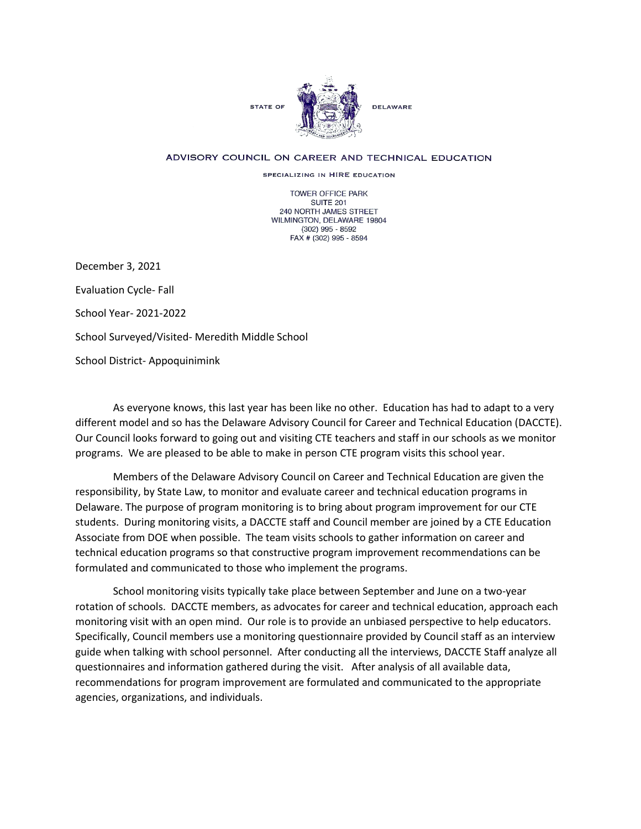

## ADVISORY COUNCIL ON CAREER AND TECHNICAL EDUCATION

SPECIALIZING IN HIRE EDUCATION

TOWER OFFICE PARK SUITE 201 240 NORTH JAMES STREET WILMINGTON, DELAWARE 19804 (302) 995 - 8592 FAX # (302) 995 - 8594

December 3, 2021 Evaluation Cycle- Fall School Year- 2021-2022 School Surveyed/Visited- Meredith Middle School School District- Appoquinimink

As everyone knows, this last year has been like no other. Education has had to adapt to a very different model and so has the Delaware Advisory Council for Career and Technical Education (DACCTE). Our Council looks forward to going out and visiting CTE teachers and staff in our schools as we monitor programs. We are pleased to be able to make in person CTE program visits this school year.

Members of the Delaware Advisory Council on Career and Technical Education are given the responsibility, by State Law, to monitor and evaluate career and technical education programs in Delaware. The purpose of program monitoring is to bring about program improvement for our CTE students. During monitoring visits, a DACCTE staff and Council member are joined by a CTE Education Associate from DOE when possible. The team visits schools to gather information on career and technical education programs so that constructive program improvement recommendations can be formulated and communicated to those who implement the programs.

School monitoring visits typically take place between September and June on a two-year rotation of schools. DACCTE members, as advocates for career and technical education, approach each monitoring visit with an open mind. Our role is to provide an unbiased perspective to help educators. Specifically, Council members use a monitoring questionnaire provided by Council staff as an interview guide when talking with school personnel. After conducting all the interviews, DACCTE Staff analyze all questionnaires and information gathered during the visit. After analysis of all available data, recommendations for program improvement are formulated and communicated to the appropriate agencies, organizations, and individuals.